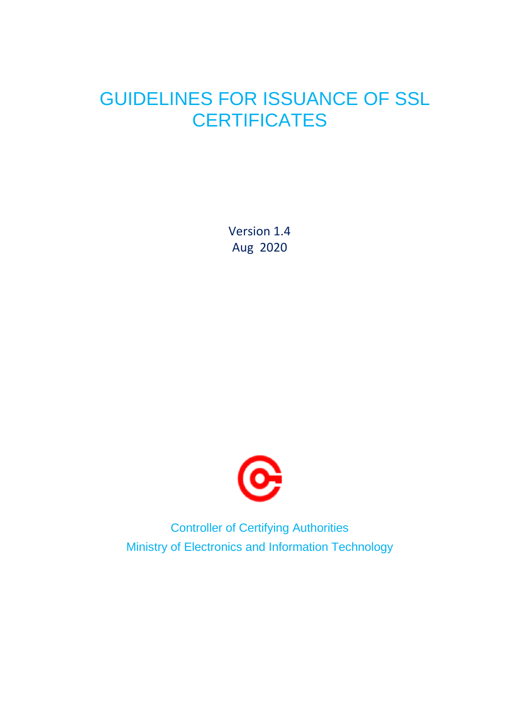## GUIDELINES FOR ISSUANCE OF SSL **CERTIFICATES**

Version 1.4 Aug 2020



Controller of Certifying Authorities Ministry of Electronics and Information Technology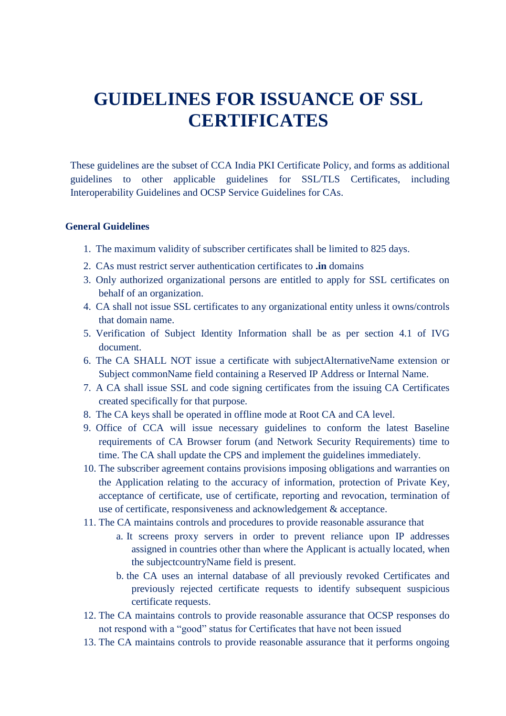## **GUIDELINES FOR ISSUANCE OF SSL CERTIFICATES**

These guidelines are the subset of CCA India PKI Certificate Policy, and forms as additional guidelines to other applicable guidelines for SSL/TLS Certificates, including Interoperability Guidelines and OCSP Service Guidelines for CAs.

## **General Guidelines**

- 1. The maximum validity of subscriber certificates shall be limited to 825 days.
- 2. CAs must restrict server authentication certificates to **.in** domains
- 3. Only authorized organizational persons are entitled to apply for SSL certificates on behalf of an organization.
- 4. CA shall not issue SSL certificates to any organizational entity unless it owns/controls that domain name.
- 5. Verification of Subject Identity Information shall be as per section 4.1 of IVG document.
- 6. The CA SHALL NOT issue a certificate with subjectAlternativeName extension or Subject commonName field containing a Reserved IP Address or Internal Name.
- 7. A CA shall issue SSL and code signing certificates from the issuing CA Certificates created specifically for that purpose.
- 8. The CA keys shall be operated in offline mode at Root CA and CA level.
- 9. Office of CCA will issue necessary guidelines to conform the latest Baseline requirements of CA Browser forum (and Network Security Requirements) time to time. The CA shall update the CPS and implement the guidelines immediately.
- 10. The subscriber agreement contains provisions imposing obligations and warranties on the Application relating to the accuracy of information, protection of Private Key, acceptance of certificate, use of certificate, reporting and revocation, termination of use of certificate, responsiveness and acknowledgement & acceptance.
- 11. The CA maintains controls and procedures to provide reasonable assurance that
	- a. It screens proxy servers in order to prevent reliance upon IP addresses assigned in countries other than where the Applicant is actually located, when the subjectcountryName field is present.
	- b. the CA uses an internal database of all previously revoked Certificates and previously rejected certificate requests to identify subsequent suspicious certificate requests.
- 12. The CA maintains controls to provide reasonable assurance that OCSP responses do not respond with a "good" status for Certificates that have not been issued
- 13. The CA maintains controls to provide reasonable assurance that it performs ongoing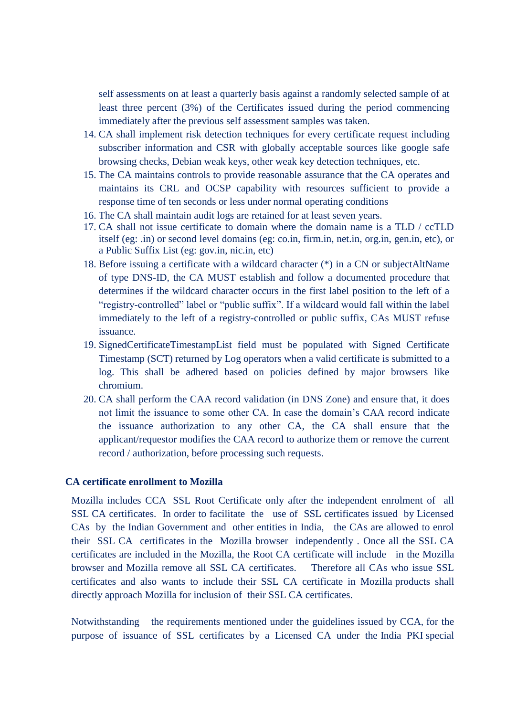self assessments on at least a quarterly basis against a randomly selected sample of at least three percent (3%) of the Certificates issued during the period commencing immediately after the previous self assessment samples was taken.

- 14. CA shall implement risk detection techniques for every certificate request including subscriber information and CSR with globally acceptable sources like google safe browsing checks, Debian weak keys, other weak key detection techniques, etc.
- 15. The CA maintains controls to provide reasonable assurance that the CA operates and maintains its CRL and OCSP capability with resources sufficient to provide a response time of ten seconds or less under normal operating conditions
- 16. The CA shall maintain audit logs are retained for at least seven years.
- 17. CA shall not issue certificate to domain where the domain name is a TLD / ccTLD itself (eg: .in) or second level domains (eg: co.in, firm.in, net.in, org.in, gen.in, etc), or a Public Suffix List (eg: gov.in, nic.in, etc)
- 18. Before issuing a certificate with a wildcard character (\*) in a CN or subjectAltName of type DNS-ID, the CA MUST establish and follow a documented procedure that determines if the wildcard character occurs in the first label position to the left of a "registry-controlled" label or "public suffix". If a wildcard would fall within the label immediately to the left of a registry-controlled or public suffix, CAs MUST refuse issuance.
- 19. SignedCertificateTimestampList field must be populated with Signed Certificate Timestamp (SCT) returned by Log operators when a valid certificate is submitted to a log. This shall be adhered based on policies defined by major browsers like chromium.
- 20. CA shall perform the CAA record validation (in DNS Zone) and ensure that, it does not limit the issuance to some other CA. In case the domain's CAA record indicate the issuance authorization to any other CA, the CA shall ensure that the applicant/requestor modifies the CAA record to authorize them or remove the current record / authorization, before processing such requests.

## **CA certificate enrollment to Mozilla**

Mozilla includes CCA SSL Root Certificate only after the independent enrolment of all SSL CA certificates. In order to facilitate the use of SSL certificates issued by Licensed CAs by the Indian Government and other entities in India, the CAs are allowed to enrol their SSL CA certificates in the Mozilla browser independently . Once all the SSL CA certificates are included in the Mozilla, the Root CA certificate will include in the Mozilla browser and Mozilla remove all SSL CA certificates. Therefore all CAs who issue SSL certificates and also wants to include their SSL CA certificate in Mozilla products shall directly approach Mozilla for inclusion of their SSL CA certificates.

Notwithstanding the requirements mentioned under the guidelines issued by CCA, for the purpose of issuance of SSL certificates by a Licensed CA under the India PKI special